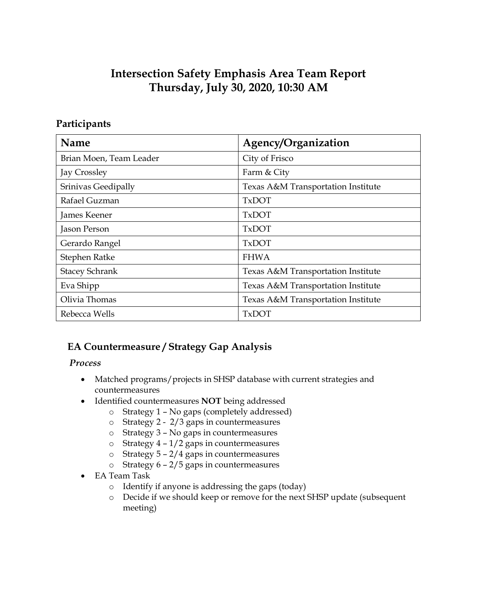# **Intersection Safety Emphasis Area Team Report Thursday, July 30, 2020, 10:30 AM**

## **Participants**

| <b>Name</b>             | Agency/Organization                |
|-------------------------|------------------------------------|
| Brian Moen, Team Leader | City of Frisco                     |
| Jay Crossley            | Farm & City                        |
| Srinivas Geedipally     | Texas A&M Transportation Institute |
| Rafael Guzman           | <b>TxDOT</b>                       |
| James Keener            | <b>TxDOT</b>                       |
| Jason Person            | <b>TxDOT</b>                       |
| Gerardo Rangel          | <b>TxDOT</b>                       |
| Stephen Ratke           | <b>FHWA</b>                        |
| <b>Stacey Schrank</b>   | Texas A&M Transportation Institute |
| Eva Shipp               | Texas A&M Transportation Institute |
| Olivia Thomas           | Texas A&M Transportation Institute |
| Rebecca Wells           | <b>TxDOT</b>                       |

# **EA Countermeasure / Strategy Gap Analysis**

#### *Process*

- Matched programs/projects in SHSP database with current strategies and countermeasures
- Identified countermeasures **NOT** being addressed
	- o Strategy 1 No gaps (completely addressed)
	- o Strategy 2 2/3 gaps in countermeasures
	- o Strategy 3 No gaps in countermeasures
	- $\circ$  Strategy 4 1/2 gaps in countermeasures
	- o Strategy 5 2/4 gaps in countermeasures
	- o Strategy 6 2/5 gaps in countermeasures
- EA Team Task
	- o Identify if anyone is addressing the gaps (today)
	- o Decide if we should keep or remove for the next SHSP update (subsequent meeting)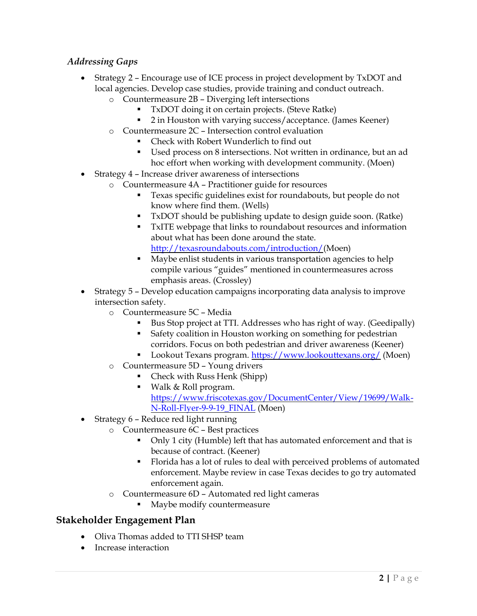#### *Addressing Gaps*

- Strategy 2 Encourage use of ICE process in project development by TxDOT and local agencies. Develop case studies, provide training and conduct outreach.
	- o Countermeasure 2B Diverging left intersections
		- TxDOT doing it on certain projects. (Steve Ratke)
		- 2 in Houston with varying success/acceptance. (James Keener)
	- o Countermeasure 2C Intersection control evaluation
		- Check with Robert Wunderlich to find out
		- Used process on 8 intersections. Not written in ordinance, but an ad hoc effort when working with development community. (Moen)
- Strategy 4 Increase driver awareness of intersections
	- o Countermeasure 4A Practitioner guide for resources
		- Texas specific guidelines exist for roundabouts, but people do not know where find them. (Wells)
		- TxDOT should be publishing update to design guide soon. (Ratke)
		- TxITE webpage that links to roundabout resources and information about what has been done around the state. [http://texasroundabouts.com/introduction/\(](http://texasroundabouts.com/introduction/)Moen)
		- Maybe enlist students in various transportation agencies to help compile various "guides" mentioned in countermeasures across emphasis areas. (Crossley)
- Strategy 5 Develop education campaigns incorporating data analysis to improve intersection safety.
	- o Countermeasure 5C Media
		- Bus Stop project at TTI. Addresses who has right of way. (Geedipally)
		- Safety coalition in Houston working on something for pedestrian corridors. Focus on both pedestrian and driver awareness (Keener)
		- Lookout Texans program[. https://www.lookouttexans.org/](https://www.lookouttexans.org/) (Moen)
	- o Countermeasure 5D Young drivers
		- Check with Russ Henk (Shipp)
		- Walk & Roll program. [https://www.friscotexas.gov/DocumentCenter/View/19699/Walk-](https://www.friscotexas.gov/DocumentCenter/View/19699/Walk-N-Roll-Flyer-9-9-19_FINAL)[N-Roll-Flyer-9-9-19\\_FINAL](https://www.friscotexas.gov/DocumentCenter/View/19699/Walk-N-Roll-Flyer-9-9-19_FINAL) (Moen)
- Strategy 6 Reduce red light running
	- o Countermeasure 6C Best practices
		- Only 1 city (Humble) left that has automated enforcement and that is because of contract. (Keener)
		- Florida has a lot of rules to deal with perceived problems of automated enforcement. Maybe review in case Texas decides to go try automated enforcement again.
	- o Countermeasure 6D Automated red light cameras
		- Maybe modify countermeasure

#### **Stakeholder Engagement Plan**

- Oliva Thomas added to TTI SHSP team
- Increase interaction